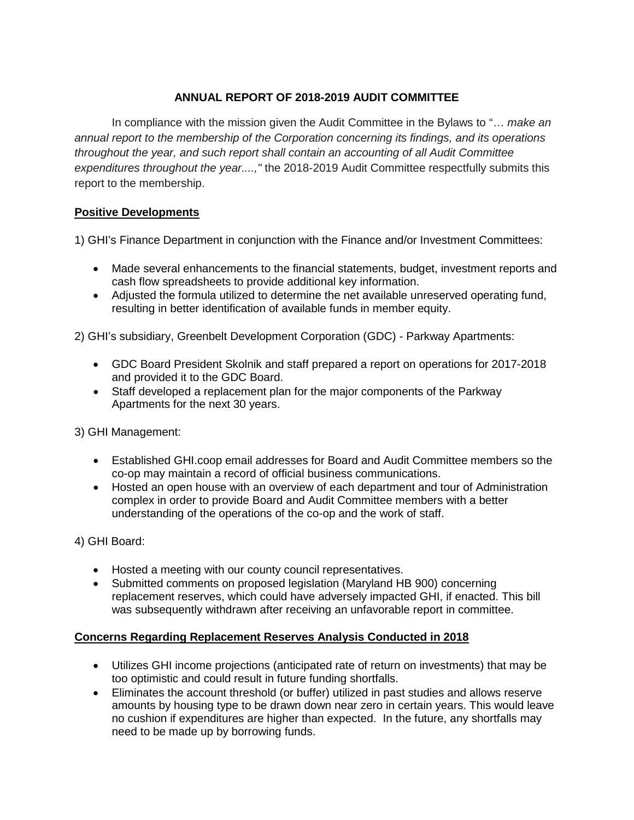## **ANNUAL REPORT OF 2018-2019 AUDIT COMMITTEE**

In compliance with the mission given the Audit Committee in the Bylaws to "… *make an annual report to the membership of the Corporation concerning its findings, and its operations throughout the year, and such report shall contain an accounting of all Audit Committee expenditures throughout the year....,"* the 2018-2019 Audit Committee respectfully submits this report to the membership.

## **Positive Developments**

1) GHI's Finance Department in conjunction with the Finance and/or Investment Committees:

- Made several enhancements to the financial statements, budget, investment reports and cash flow spreadsheets to provide additional key information.
- Adjusted the formula utilized to determine the net available unreserved operating fund, resulting in better identification of available funds in member equity.

2) GHI's subsidiary, Greenbelt Development Corporation (GDC) - Parkway Apartments:

- GDC Board President Skolnik and staff prepared a report on operations for 2017-2018 and provided it to the GDC Board.
- Staff developed a replacement plan for the major components of the Parkway Apartments for the next 30 years.

3) GHI Management:

- Established GHI.coop email addresses for Board and Audit Committee members so the co-op may maintain a record of official business communications.
- Hosted an open house with an overview of each department and tour of Administration complex in order to provide Board and Audit Committee members with a better understanding of the operations of the co-op and the work of staff.

4) GHI Board:

- Hosted a meeting with our county council representatives.
- Submitted comments on proposed legislation (Maryland HB 900) concerning replacement reserves, which could have adversely impacted GHI, if enacted. This bill was subsequently withdrawn after receiving an unfavorable report in committee.

## **Concerns Regarding Replacement Reserves Analysis Conducted in 2018**

- Utilizes GHI income projections (anticipated rate of return on investments) that may be too optimistic and could result in future funding shortfalls.
- Eliminates the account threshold (or buffer) utilized in past studies and allows reserve amounts by housing type to be drawn down near zero in certain years. This would leave no cushion if expenditures are higher than expected. In the future, any shortfalls may need to be made up by borrowing funds.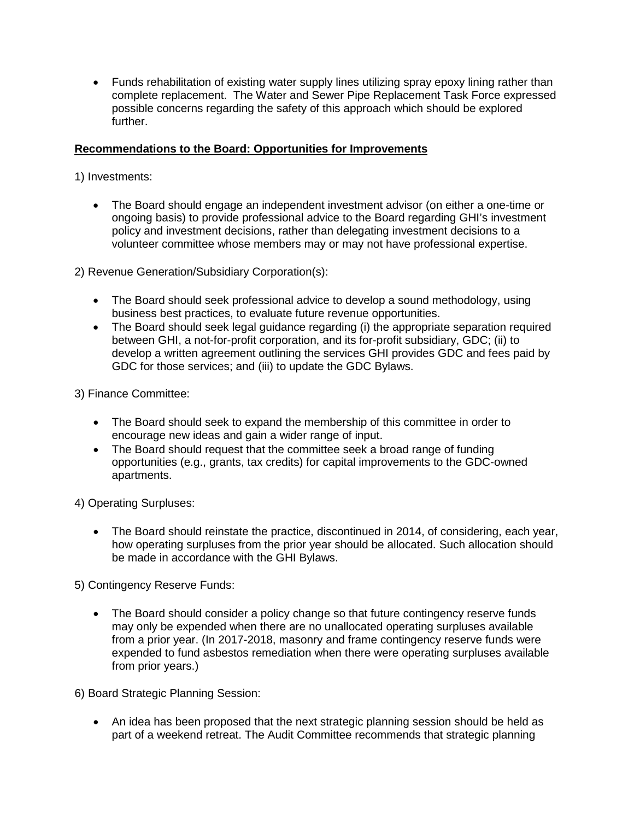• Funds rehabilitation of existing water supply lines utilizing spray epoxy lining rather than complete replacement. The Water and Sewer Pipe Replacement Task Force expressed possible concerns regarding the safety of this approach which should be explored further.

#### **Recommendations to the Board: Opportunities for Improvements**

1) Investments:

• The Board should engage an independent investment advisor (on either a one-time or ongoing basis) to provide professional advice to the Board regarding GHI's investment policy and investment decisions, rather than delegating investment decisions to a volunteer committee whose members may or may not have professional expertise.

2) Revenue Generation/Subsidiary Corporation(s):

- The Board should seek professional advice to develop a sound methodology, using business best practices, to evaluate future revenue opportunities.
- The Board should seek legal guidance regarding (i) the appropriate separation required between GHI, a not-for-profit corporation, and its for-profit subsidiary, GDC; (ii) to develop a written agreement outlining the services GHI provides GDC and fees paid by GDC for those services; and (iii) to update the GDC Bylaws.

3) Finance Committee:

- The Board should seek to expand the membership of this committee in order to encourage new ideas and gain a wider range of input.
- The Board should request that the committee seek a broad range of funding opportunities (e.g., grants, tax credits) for capital improvements to the GDC-owned apartments.

4) Operating Surpluses:

• The Board should reinstate the practice, discontinued in 2014, of considering, each year, how operating surpluses from the prior year should be allocated. Such allocation should be made in accordance with the GHI Bylaws.

5) Contingency Reserve Funds:

• The Board should consider a policy change so that future contingency reserve funds may only be expended when there are no unallocated operating surpluses available from a prior year. (In 2017-2018, masonry and frame contingency reserve funds were expended to fund asbestos remediation when there were operating surpluses available from prior years.)

6) Board Strategic Planning Session:

• An idea has been proposed that the next strategic planning session should be held as part of a weekend retreat. The Audit Committee recommends that strategic planning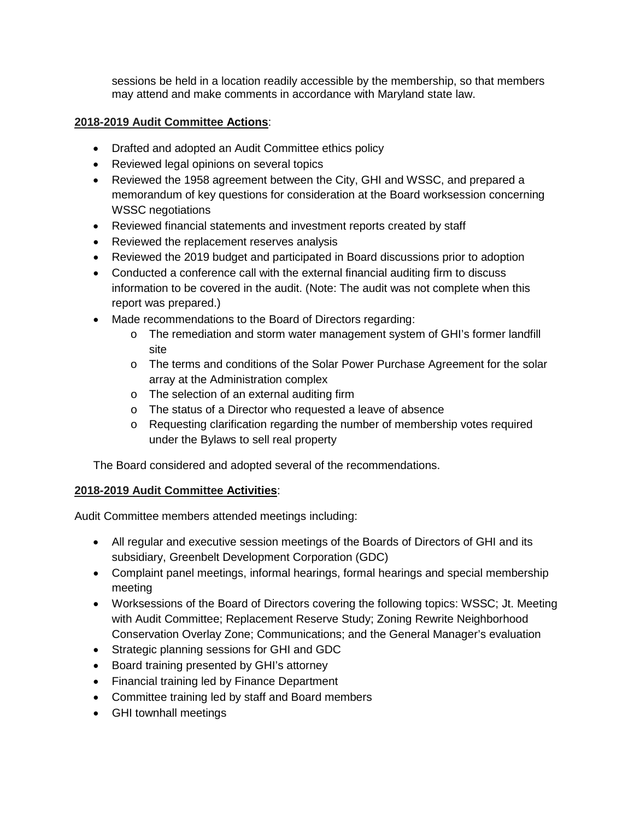sessions be held in a location readily accessible by the membership, so that members may attend and make comments in accordance with Maryland state law.

# **2018-2019 Audit Committee Actions**:

- Drafted and adopted an Audit Committee ethics policy
- Reviewed legal opinions on several topics
- Reviewed the 1958 agreement between the City, GHI and WSSC, and prepared a memorandum of key questions for consideration at the Board worksession concerning WSSC negotiations
- Reviewed financial statements and investment reports created by staff
- Reviewed the replacement reserves analysis
- Reviewed the 2019 budget and participated in Board discussions prior to adoption
- Conducted a conference call with the external financial auditing firm to discuss information to be covered in the audit. (Note: The audit was not complete when this report was prepared.)
- Made recommendations to the Board of Directors regarding:
	- o The remediation and storm water management system of GHI's former landfill site
	- o The terms and conditions of the Solar Power Purchase Agreement for the solar array at the Administration complex
	- o The selection of an external auditing firm
	- o The status of a Director who requested a leave of absence
	- o Requesting clarification regarding the number of membership votes required under the Bylaws to sell real property

The Board considered and adopted several of the recommendations.

## **2018-2019 Audit Committee Activities**:

Audit Committee members attended meetings including:

- All regular and executive session meetings of the Boards of Directors of GHI and its subsidiary, Greenbelt Development Corporation (GDC)
- Complaint panel meetings, informal hearings, formal hearings and special membership meeting
- Worksessions of the Board of Directors covering the following topics: WSSC; Jt. Meeting with Audit Committee; Replacement Reserve Study; Zoning Rewrite Neighborhood Conservation Overlay Zone; Communications; and the General Manager's evaluation
- Strategic planning sessions for GHI and GDC
- Board training presented by GHI's attorney
- Financial training led by Finance Department
- Committee training led by staff and Board members
- GHI townhall meetings